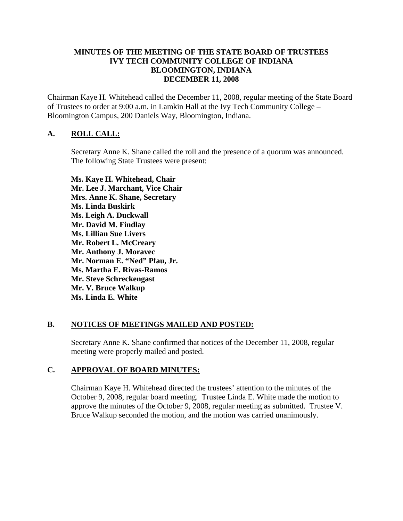#### **MINUTES OF THE MEETING OF THE STATE BOARD OF TRUSTEES IVY TECH COMMUNITY COLLEGE OF INDIANA BLOOMINGTON, INDIANA DECEMBER 11, 2008**

Chairman Kaye H. Whitehead called the December 11, 2008, regular meeting of the State Board of Trustees to order at 9:00 a.m. in Lamkin Hall at the Ivy Tech Community College – Bloomington Campus, 200 Daniels Way, Bloomington, Indiana.

# **A. ROLL CALL:**

Secretary Anne K. Shane called the roll and the presence of a quorum was announced. The following State Trustees were present:

**Ms. Kaye H. Whitehead, Chair Mr. Lee J. Marchant, Vice Chair Mrs. Anne K. Shane, Secretary Ms. Linda Buskirk Ms. Leigh A. Duckwall Mr. David M. Findlay Ms. Lillian Sue Livers Mr. Robert L. McCreary Mr. Anthony J. Moravec Mr. Norman E. "Ned" Pfau, Jr. Ms. Martha E. Rivas-Ramos Mr. Steve Schreckengast Mr. V. Bruce Walkup Ms. Linda E. White** 

# **B. NOTICES OF MEETINGS MAILED AND POSTED:**

Secretary Anne K. Shane confirmed that notices of the December 11, 2008, regular meeting were properly mailed and posted.

# **C. APPROVAL OF BOARD MINUTES:**

Chairman Kaye H. Whitehead directed the trustees' attention to the minutes of the October 9, 2008, regular board meeting. Trustee Linda E. White made the motion to approve the minutes of the October 9, 2008, regular meeting as submitted. Trustee V. Bruce Walkup seconded the motion, and the motion was carried unanimously.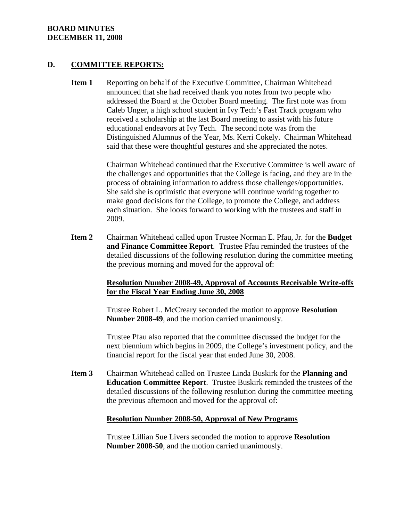#### **BOARD MINUTES DECEMBER 11, 2008**

#### **D. COMMITTEE REPORTS:**

**Item 1** Reporting on behalf of the Executive Committee, Chairman Whitehead announced that she had received thank you notes from two people who addressed the Board at the October Board meeting. The first note was from Caleb Unger, a high school student in Ivy Tech's Fast Track program who received a scholarship at the last Board meeting to assist with his future educational endeavors at Ivy Tech. The second note was from the Distinguished Alumnus of the Year, Ms. Kerri Cokely. Chairman Whitehead said that these were thoughtful gestures and she appreciated the notes.

> Chairman Whitehead continued that the Executive Committee is well aware of the challenges and opportunities that the College is facing, and they are in the process of obtaining information to address those challenges/opportunities. She said she is optimistic that everyone will continue working together to make good decisions for the College, to promote the College, and address each situation. She looks forward to working with the trustees and staff in 2009.

**Item 2** Chairman Whitehead called upon Trustee Norman E. Pfau, Jr. for the **Budget and Finance Committee Report**. Trustee Pfau reminded the trustees of the detailed discussions of the following resolution during the committee meeting the previous morning and moved for the approval of:

#### **Resolution Number 2008-49, Approval of Accounts Receivable Write-offs for the Fiscal Year Ending June 30, 2008**

Trustee Robert L. McCreary seconded the motion to approve **Resolution Number 2008-49**, and the motion carried unanimously.

Trustee Pfau also reported that the committee discussed the budget for the next biennium which begins in 2009, the College's investment policy, and the financial report for the fiscal year that ended June 30, 2008.

**Item 3** Chairman Whitehead called on Trustee Linda Buskirk for the **Planning and Education Committee Report**. Trustee Buskirk reminded the trustees of the detailed discussions of the following resolution during the committee meeting the previous afternoon and moved for the approval of:

#### **Resolution Number 2008-50, Approval of New Programs**

Trustee Lillian Sue Livers seconded the motion to approve **Resolution Number 2008-50**, and the motion carried unanimously.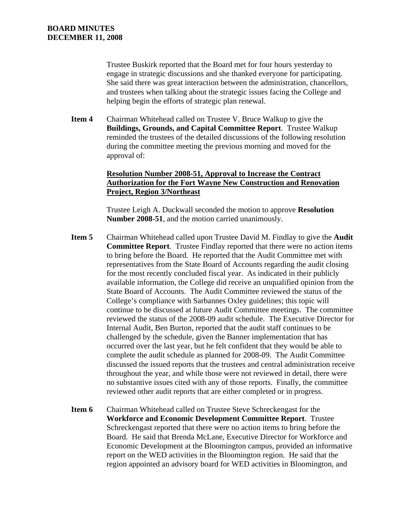Trustee Buskirk reported that the Board met for four hours yesterday to engage in strategic discussions and she thanked everyone for participating. She said there was great interaction between the administration, chancellors, and trustees when talking about the strategic issues facing the College and helping begin the efforts of strategic plan renewal.

**Item 4** Chairman Whitehead called on Trustee V. Bruce Walkup to give the **Buildings, Grounds, and Capital Committee Report**. Trustee Walkup reminded the trustees of the detailed discussions of the following resolution during the committee meeting the previous morning and moved for the approval of:

# **Resolution Number 2008-51, Approval to Increase the Contract Authorization for the Fort Wayne New Construction and Renovation Project, Region 3/Northeast**

Trustee Leigh A. Duckwall seconded the motion to approve **Resolution Number 2008-51**, and the motion carried unanimously.

- **Item 5** Chairman Whitehead called upon Trustee David M. Findlay to give the **Audit Committee Report**. Trustee Findlay reported that there were no action items to bring before the Board. He reported that the Audit Committee met with representatives from the State Board of Accounts regarding the audit closing for the most recently concluded fiscal year. As indicated in their publicly available information, the College did receive an unqualified opinion from the State Board of Accounts. The Audit Committee reviewed the status of the College's compliance with Sarbannes Oxley guidelines; this topic will continue to be discussed at future Audit Committee meetings. The committee reviewed the status of the 2008-09 audit schedule. The Executive Director for Internal Audit, Ben Burton, reported that the audit staff continues to be challenged by the schedule, given the Banner implementation that has occurred over the last year, but he felt confident that they would be able to complete the audit schedule as planned for 2008-09. The Audit Committee discussed the issued reports that the trustees and central administration receive throughout the year, and while those were not reviewed in detail, there were no substantive issues cited with any of those reports. Finally, the committee reviewed other audit reports that are either completed or in progress.
- **Item 6** Chairman Whitehead called on Trustee Steve Schreckengast for the **Workforce and Economic Development Committee Report**. Trustee Schreckengast reported that there were no action items to bring before the Board. He said that Brenda McLane, Executive Director for Workforce and Economic Development at the Bloomington campus, provided an informative report on the WED activities in the Bloomington region. He said that the region appointed an advisory board for WED activities in Bloomington, and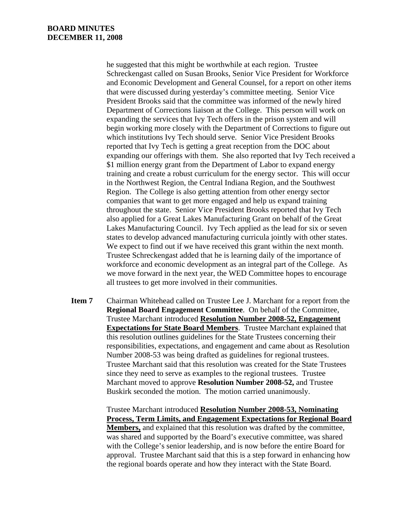he suggested that this might be worthwhile at each region. Trustee Schreckengast called on Susan Brooks, Senior Vice President for Workforce and Economic Development and General Counsel, for a report on other items that were discussed during yesterday's committee meeting. Senior Vice President Brooks said that the committee was informed of the newly hired Department of Corrections liaison at the College. This person will work on expanding the services that Ivy Tech offers in the prison system and will begin working more closely with the Department of Corrections to figure out which institutions Ivy Tech should serve. Senior Vice President Brooks reported that Ivy Tech is getting a great reception from the DOC about expanding our offerings with them. She also reported that Ivy Tech received a \$1 million energy grant from the Department of Labor to expand energy training and create a robust curriculum for the energy sector. This will occur in the Northwest Region, the Central Indiana Region, and the Southwest Region. The College is also getting attention from other energy sector companies that want to get more engaged and help us expand training throughout the state. Senior Vice President Brooks reported that Ivy Tech also applied for a Great Lakes Manufacturing Grant on behalf of the Great Lakes Manufacturing Council. Ivy Tech applied as the lead for six or seven states to develop advanced manufacturing curricula jointly with other states. We expect to find out if we have received this grant within the next month. Trustee Schreckengast added that he is learning daily of the importance of workforce and economic development as an integral part of the College. As we move forward in the next year, the WED Committee hopes to encourage all trustees to get more involved in their communities.

**Item 7** Chairman Whitehead called on Trustee Lee J. Marchant for a report from the **Regional Board Engagement Committee**. On behalf of the Committee, Trustee Marchant introduced **Resolution Number 2008-52, Engagement Expectations for State Board Members**. Trustee Marchant explained that this resolution outlines guidelines for the State Trustees concerning their responsibilities, expectations, and engagement and came about as Resolution Number 2008-53 was being drafted as guidelines for regional trustees. Trustee Marchant said that this resolution was created for the State Trustees since they need to serve as examples to the regional trustees. Trustee Marchant moved to approve **Resolution Number 2008-52,** and Trustee Buskirk seconded the motion. The motion carried unanimously.

> Trustee Marchant introduced **Resolution Number 2008-53, Nominating Process, Term Limits, and Engagement Expectations for Regional Board Members,** and explained that this resolution was drafted by the committee, was shared and supported by the Board's executive committee, was shared with the College's senior leadership, and is now before the entire Board for approval. Trustee Marchant said that this is a step forward in enhancing how the regional boards operate and how they interact with the State Board.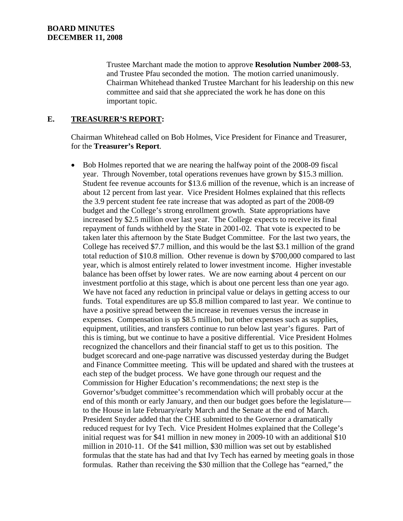Trustee Marchant made the motion to approve **Resolution Number 2008-53**, and Trustee Pfau seconded the motion. The motion carried unanimously. Chairman Whitehead thanked Trustee Marchant for his leadership on this new committee and said that she appreciated the work he has done on this important topic.

### **E. TREASURER'S REPORT:**

Chairman Whitehead called on Bob Holmes, Vice President for Finance and Treasurer, for the **Treasurer's Report**.

• Bob Holmes reported that we are nearing the halfway point of the 2008-09 fiscal year. Through November, total operations revenues have grown by \$15.3 million. Student fee revenue accounts for \$13.6 million of the revenue, which is an increase of about 12 percent from last year. Vice President Holmes explained that this reflects the 3.9 percent student fee rate increase that was adopted as part of the 2008-09 budget and the College's strong enrollment growth. State appropriations have increased by \$2.5 million over last year. The College expects to receive its final repayment of funds withheld by the State in 2001-02. That vote is expected to be taken later this afternoon by the State Budget Committee. For the last two years, the College has received \$7.7 million, and this would be the last \$3.1 million of the grand total reduction of \$10.8 million. Other revenue is down by \$700,000 compared to last year, which is almost entirely related to lower investment income. Higher investable balance has been offset by lower rates. We are now earning about 4 percent on our investment portfolio at this stage, which is about one percent less than one year ago. We have not faced any reduction in principal value or delays in getting access to our funds. Total expenditures are up \$5.8 million compared to last year. We continue to have a positive spread between the increase in revenues versus the increase in expenses. Compensation is up \$8.5 million, but other expenses such as supplies, equipment, utilities, and transfers continue to run below last year's figures. Part of this is timing, but we continue to have a positive differential. Vice President Holmes recognized the chancellors and their financial staff to get us to this position. The budget scorecard and one-page narrative was discussed yesterday during the Budget and Finance Committee meeting. This will be updated and shared with the trustees at each step of the budget process. We have gone through our request and the Commission for Higher Education's recommendations; the next step is the Governor's/budget committee's recommendation which will probably occur at the end of this month or early January, and then our budget goes before the legislature to the House in late February/early March and the Senate at the end of March. President Snyder added that the CHE submitted to the Governor a dramatically reduced request for Ivy Tech. Vice President Holmes explained that the College's initial request was for \$41 million in new money in 2009-10 with an additional \$10 million in 2010-11. Of the \$41 million, \$30 million was set out by established formulas that the state has had and that Ivy Tech has earned by meeting goals in those formulas. Rather than receiving the \$30 million that the College has "earned," the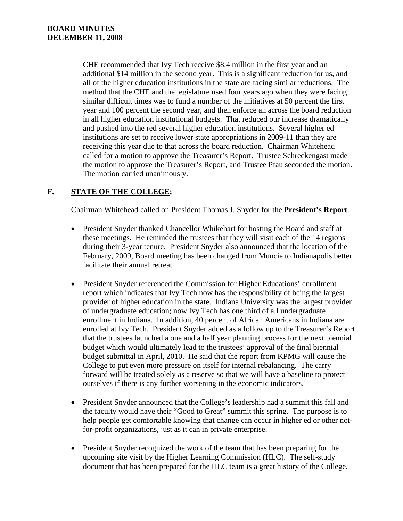CHE recommended that Ivy Tech receive \$8.4 million in the first year and an additional \$14 million in the second year. This is a significant reduction for us, and all of the higher education institutions in the state are facing similar reductions. The method that the CHE and the legislature used four years ago when they were facing similar difficult times was to fund a number of the initiatives at 50 percent the first year and 100 percent the second year, and then enforce an across the board reduction in all higher education institutional budgets. That reduced our increase dramatically and pushed into the red several higher education institutions. Several higher ed institutions are set to receive lower state appropriations in 2009-11 than they are receiving this year due to that across the board reduction. Chairman Whitehead called for a motion to approve the Treasurer's Report. Trustee Schreckengast made the motion to approve the Treasurer's Report, and Trustee Pfau seconded the motion. The motion carried unanimously.

# **F. STATE OF THE COLLEGE:**

Chairman Whitehead called on President Thomas J. Snyder for the **President's Report**.

- President Snyder thanked Chancellor Whikehart for hosting the Board and staff at these meetings. He reminded the trustees that they will visit each of the 14 regions during their 3-year tenure. President Snyder also announced that the location of the February, 2009, Board meeting has been changed from Muncie to Indianapolis better facilitate their annual retreat.
- President Snyder referenced the Commission for Higher Educations' enrollment report which indicates that Ivy Tech now has the responsibility of being the largest provider of higher education in the state. Indiana University was the largest provider of undergraduate education; now Ivy Tech has one third of all undergraduate enrollment in Indiana. In addition, 40 percent of African Americans in Indiana are enrolled at Ivy Tech. President Snyder added as a follow up to the Treasurer's Report that the trustees launched a one and a half year planning process for the next biennial budget which would ultimately lead to the trustees' approval of the final biennial budget submittal in April, 2010. He said that the report from KPMG will cause the College to put even more pressure on itself for internal rebalancing. The carry forward will be treated solely as a reserve so that we will have a baseline to protect ourselves if there is any further worsening in the economic indicators.
- President Snyder announced that the College's leadership had a summit this fall and the faculty would have their "Good to Great" summit this spring. The purpose is to help people get comfortable knowing that change can occur in higher ed or other notfor-profit organizations, just as it can in private enterprise.
- President Snyder recognized the work of the team that has been preparing for the upcoming site visit by the Higher Learning Commission (HLC). The self-study document that has been prepared for the HLC team is a great history of the College.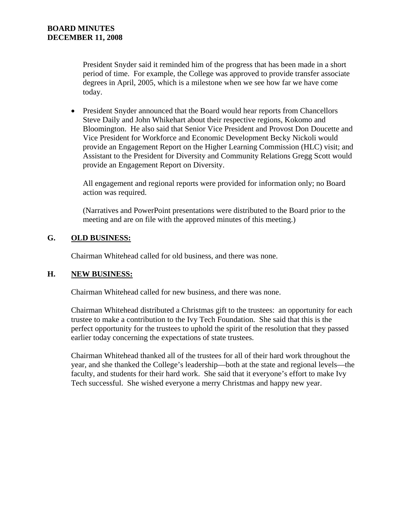President Snyder said it reminded him of the progress that has been made in a short period of time. For example, the College was approved to provide transfer associate degrees in April, 2005, which is a milestone when we see how far we have come today.

• President Snyder announced that the Board would hear reports from Chancellors Steve Daily and John Whikehart about their respective regions, Kokomo and Bloomington. He also said that Senior Vice President and Provost Don Doucette and Vice President for Workforce and Economic Development Becky Nickoli would provide an Engagement Report on the Higher Learning Commission (HLC) visit; and Assistant to the President for Diversity and Community Relations Gregg Scott would provide an Engagement Report on Diversity.

All engagement and regional reports were provided for information only; no Board action was required.

(Narratives and PowerPoint presentations were distributed to the Board prior to the meeting and are on file with the approved minutes of this meeting.)

# **G. OLD BUSINESS:**

Chairman Whitehead called for old business, and there was none.

# **H. NEW BUSINESS:**

Chairman Whitehead called for new business, and there was none.

Chairman Whitehead distributed a Christmas gift to the trustees: an opportunity for each trustee to make a contribution to the Ivy Tech Foundation. She said that this is the perfect opportunity for the trustees to uphold the spirit of the resolution that they passed earlier today concerning the expectations of state trustees.

Chairman Whitehead thanked all of the trustees for all of their hard work throughout the year, and she thanked the College's leadership—both at the state and regional levels—the faculty, and students for their hard work. She said that it everyone's effort to make Ivy Tech successful. She wished everyone a merry Christmas and happy new year.